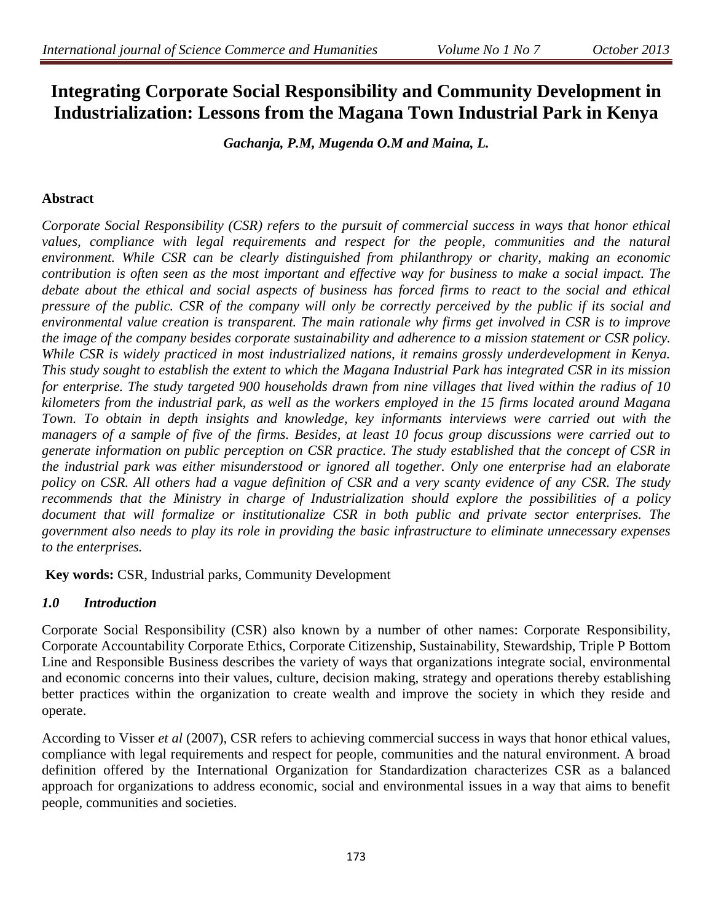# **Integrating Corporate Social Responsibility and Community Development in Industrialization: Lessons from the Magana Town Industrial Park in Kenya**

*Gachanja, P.M, Mugenda O.M and Maina, L.*

### **Abstract**

*Corporate Social Responsibility (CSR) refers to the pursuit of commercial success in ways that honor ethical*  values, compliance with legal requirements and respect for the people, communities and the natural *environment. While CSR can be clearly distinguished from philanthropy or charity, making an economic contribution is often seen as the most important and effective way for business to make a social impact. The debate about the ethical and social aspects of business has forced firms to react to the social and ethical pressure of the public. CSR of the company will only be correctly perceived by the public if its social and environmental value creation is transparent. The main rationale why firms get involved in CSR is to improve the image of the company besides corporate sustainability and adherence to a mission statement or CSR policy.*  While CSR is widely practiced in most industrialized nations, it remains grossly underdevelopment in Kenya. *This study sought to establish the extent to which the Magana Industrial Park has integrated CSR in its mission for enterprise. The study targeted 900 households drawn from nine villages that lived within the radius of 10 kilometers from the industrial park, as well as the workers employed in the 15 firms located around Magana Town. To obtain in depth insights and knowledge, key informants interviews were carried out with the managers of a sample of five of the firms. Besides, at least 10 focus group discussions were carried out to generate information on public perception on CSR practice. The study established that the concept of CSR in the industrial park was either misunderstood or ignored all together. Only one enterprise had an elaborate policy on CSR. All others had a vague definition of CSR and a very scanty evidence of any CSR. The study recommends that the Ministry in charge of Industrialization should explore the possibilities of a policy document that will formalize or institutionalize CSR in both public and private sector enterprises. The government also needs to play its role in providing the basic infrastructure to eliminate unnecessary expenses to the enterprises.* 

**Key words:** CSR, Industrial parks, Community Development

### *1.0 Introduction*

Corporate Social Responsibility (CSR) also known by a number of other names: Corporate Responsibility, Corporate Accountability Corporate Ethics, Corporate Citizenship, Sustainability, Stewardship, Triple P Bottom Line and Responsible Business describes the variety of ways that organizations integrate social, environmental and economic concerns into their values, culture, decision making, strategy and operations thereby establishing better practices within the organization to create wealth and improve the society in which they reside and operate.

According to Visser *et al* (2007), CSR refers to achieving commercial success in ways that honor ethical values, compliance with legal requirements and respect for people, communities and the natural environment. A broad definition offered by the International Organization for Standardization characterizes CSR as a balanced approach for organizations to address economic, social and environmental issues in a way that aims to benefit people, communities and societies.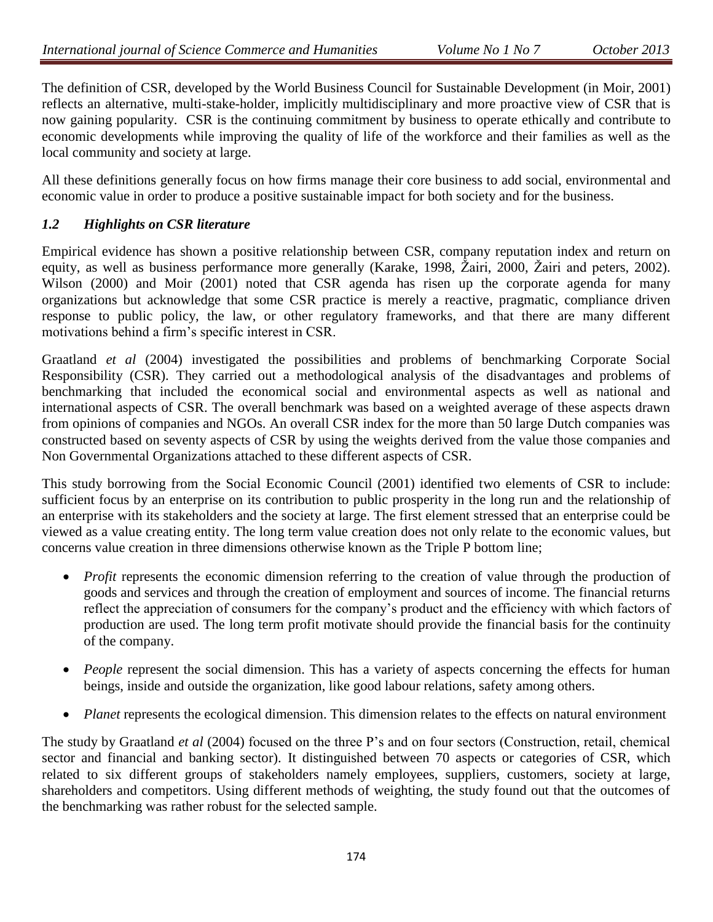The definition of CSR, developed by the World Business Council for Sustainable Development (in Moir, 2001) reflects an alternative, multi-stake-holder, implicitly multidisciplinary and more proactive view of CSR that is now gaining popularity. CSR is the continuing commitment by business to operate ethically and contribute to economic developments while improving the quality of life of the workforce and their families as well as the local community and society at large.

All these definitions generally focus on how firms manage their core business to add social, environmental and economic value in order to produce a positive sustainable impact for both society and for the business.

## *1.2 Highlights on CSR literature*

Empirical evidence has shown a positive relationship between CSR, company reputation index and return on equity, as well as business performance more generally (Karake, 1998, Žairi, 2000, Žairi and peters, 2002). Wilson (2000) and Moir (2001) noted that CSR agenda has risen up the corporate agenda for many organizations but acknowledge that some CSR practice is merely a reactive, pragmatic, compliance driven response to public policy, the law, or other regulatory frameworks, and that there are many different motivations behind a firm's specific interest in CSR.

Graatland *et al* (2004) investigated the possibilities and problems of benchmarking Corporate Social Responsibility (CSR). They carried out a methodological analysis of the disadvantages and problems of benchmarking that included the economical social and environmental aspects as well as national and international aspects of CSR. The overall benchmark was based on a weighted average of these aspects drawn from opinions of companies and NGOs. An overall CSR index for the more than 50 large Dutch companies was constructed based on seventy aspects of CSR by using the weights derived from the value those companies and Non Governmental Organizations attached to these different aspects of CSR.

This study borrowing from the Social Economic Council (2001) identified two elements of CSR to include: sufficient focus by an enterprise on its contribution to public prosperity in the long run and the relationship of an enterprise with its stakeholders and the society at large. The first element stressed that an enterprise could be viewed as a value creating entity. The long term value creation does not only relate to the economic values, but concerns value creation in three dimensions otherwise known as the Triple P bottom line;

- *Profit* represents the economic dimension referring to the creation of value through the production of goods and services and through the creation of employment and sources of income. The financial returns reflect the appreciation of consumers for the company's product and the efficiency with which factors of production are used. The long term profit motivate should provide the financial basis for the continuity of the company.
- *People* represent the social dimension. This has a variety of aspects concerning the effects for human beings, inside and outside the organization, like good labour relations, safety among others.
- *Planet* represents the ecological dimension. This dimension relates to the effects on natural environment

The study by Graatland *et al* (2004) focused on the three P's and on four sectors (Construction, retail, chemical sector and financial and banking sector). It distinguished between 70 aspects or categories of CSR, which related to six different groups of stakeholders namely employees, suppliers, customers, society at large, shareholders and competitors. Using different methods of weighting, the study found out that the outcomes of the benchmarking was rather robust for the selected sample.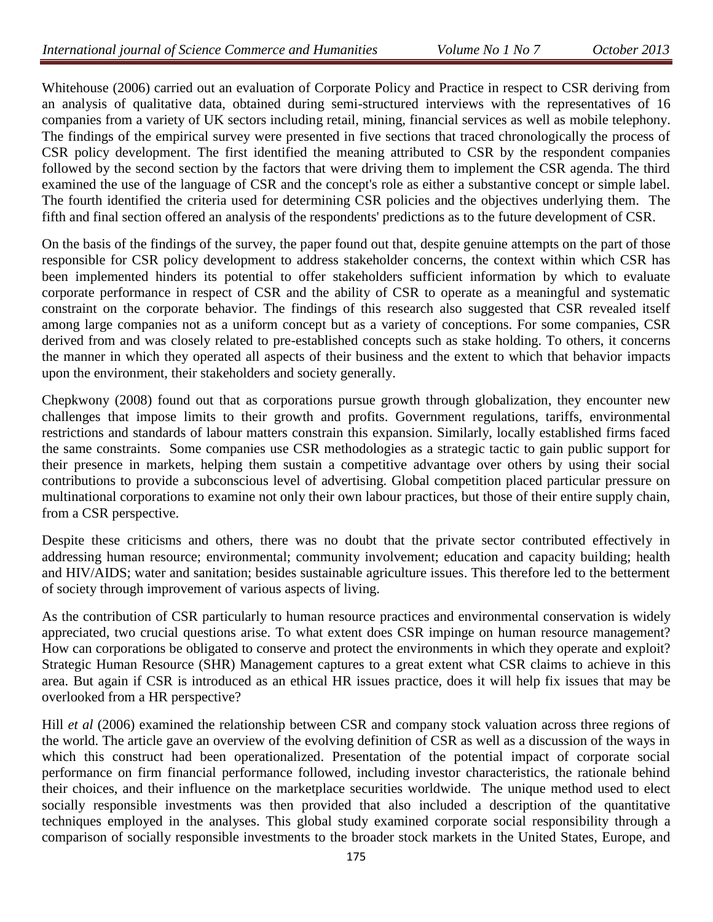Whitehouse (2006) carried out an evaluation of Corporate Policy and Practice in respect to CSR deriving from an analysis of qualitative data, obtained during semi-structured interviews with the representatives of 16 companies from a variety of UK sectors including retail, mining, financial services as well as mobile telephony. The findings of the empirical survey were presented in five sections that traced chronologically the process of CSR policy development. The first identified the meaning attributed to CSR by the respondent companies followed by the second section by the factors that were driving them to implement the CSR agenda. The third examined the use of the language of CSR and the concept's role as either a substantive concept or simple label. The fourth identified the criteria used for determining CSR policies and the objectives underlying them. The fifth and final section offered an analysis of the respondents' predictions as to the future development of CSR.

On the basis of the findings of the survey, the paper found out that, despite genuine attempts on the part of those responsible for CSR policy development to address stakeholder concerns, the context within which CSR has been implemented hinders its potential to offer stakeholders sufficient information by which to evaluate corporate performance in respect of CSR and the ability of CSR to operate as a meaningful and systematic constraint on the corporate behavior. The findings of this research also suggested that CSR revealed itself among large companies not as a uniform concept but as a variety of conceptions. For some companies, CSR derived from and was closely related to pre-established concepts such as stake holding. To others, it concerns the manner in which they operated all aspects of their business and the extent to which that behavior impacts upon the environment, their stakeholders and society generally.

Chepkwony (2008) found out that as corporations pursue growth through globalization, they encounter new challenges that impose limits to their growth and profits. Government regulations, tariffs, environmental restrictions and standards of labour matters constrain this expansion. Similarly, locally established firms faced the same constraints. Some companies use CSR methodologies as a strategic tactic to gain public support for their presence in markets, helping them sustain a competitive advantage over others by using their social contributions to provide a subconscious level of advertising. Global competition placed particular pressure on multinational corporations to examine not only their own labour practices, but those of their entire supply chain, from a CSR perspective.

Despite these criticisms and others, there was no doubt that the private sector contributed effectively in addressing human resource; environmental; community involvement; education and capacity building; health and HIV/AIDS; water and sanitation; besides sustainable agriculture issues. This therefore led to the betterment of society through improvement of various aspects of living.

As the contribution of CSR particularly to human resource practices and environmental conservation is widely appreciated, two crucial questions arise. To what extent does CSR impinge on human resource management? How can corporations be obligated to conserve and protect the environments in which they operate and exploit? Strategic Human Resource (SHR) Management captures to a great extent what CSR claims to achieve in this area. But again if CSR is introduced as an ethical HR issues practice, does it will help fix issues that may be overlooked from a HR perspective?

Hill *et al* (2006) examined the relationship between CSR and company stock valuation across three regions of the world. The article gave an overview of the evolving definition of CSR as well as a discussion of the ways in which this construct had been operationalized. Presentation of the potential impact of corporate social performance on firm financial performance followed, including investor characteristics, the rationale behind their choices, and their influence on the marketplace securities worldwide. The unique method used to elect socially responsible investments was then provided that also included a description of the quantitative techniques employed in the analyses. This global study examined corporate social responsibility through a comparison of socially responsible investments to the broader stock markets in the United States, Europe, and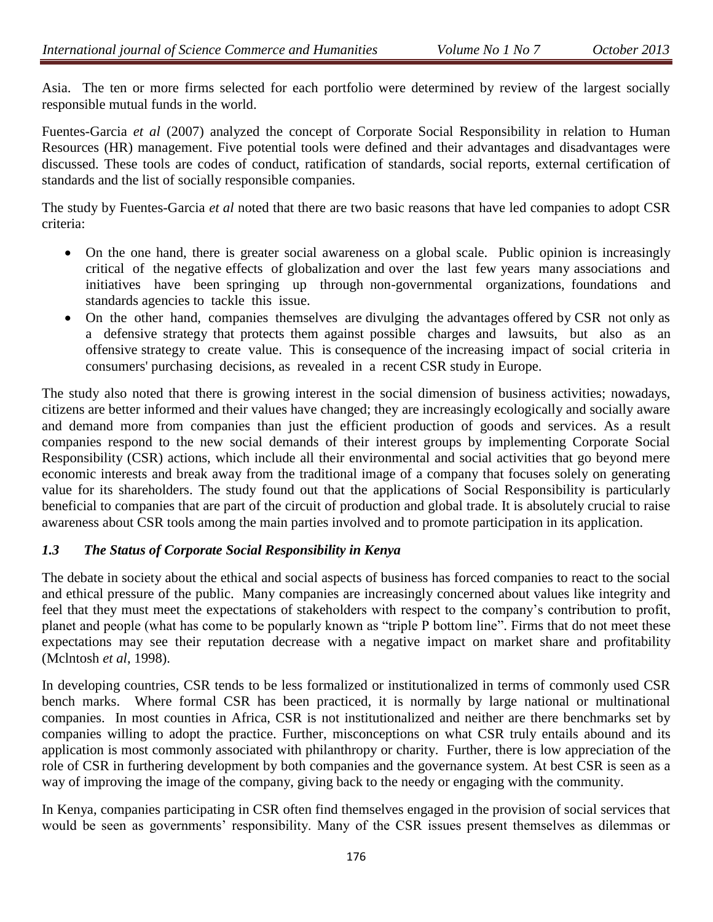Asia. The ten or more firms selected for each portfolio were determined by review of the largest socially responsible mutual funds in the world.

Fuentes-Garcia *et al* (2007) analyzed the concept of Corporate Social Responsibility in relation to Human Resources (HR) management. Five potential tools were defined and their advantages and disadvantages were discussed. These tools are codes of conduct, ratification of standards, social reports, external certification of standards and the list of socially responsible companies.

The study by Fuentes-Garcia *et al* noted that there are two basic reasons that have led companies to adopt CSR criteria:

- On the one hand, there is greater social awareness on a global scale. Public opinion is increasingly critical of the negative effects of globalization and over the last few years many associations and initiatives have been springing up through non-governmental organizations, foundations and standards agencies to tackle this issue.
- On the other hand, companies themselves are divulging the advantages offered by CSR not only as a defensive strategy that protects them against possible charges and lawsuits, but also as an offensive strategy to create value. This is consequence of the increasing impact of social criteria in consumers' purchasing decisions, as revealed in a recent CSR study in Europe.

The study also noted that there is growing interest in the social dimension of business activities; nowadays, citizens are better informed and their values have changed; they are increasingly ecologically and socially aware and demand more from companies than just the efficient production of goods and services. As a result companies respond to the new social demands of their interest groups by implementing Corporate Social Responsibility (CSR) actions, which include all their environmental and social activities that go beyond mere economic interests and break away from the traditional image of a company that focuses solely on generating value for its shareholders. The study found out that the applications of Social Responsibility is particularly beneficial to companies that are part of the circuit of production and global trade. It is absolutely crucial to raise awareness about CSR tools among the main parties involved and to promote participation in its application.

### *1.3 The Status of Corporate Social Responsibility in Kenya*

The debate in society about the ethical and social aspects of business has forced companies to react to the social and ethical pressure of the public. Many companies are increasingly concerned about values like integrity and feel that they must meet the expectations of stakeholders with respect to the company's contribution to profit, planet and people (what has come to be popularly known as "triple P bottom line". Firms that do not meet these expectations may see their reputation decrease with a negative impact on market share and profitability (Mclntosh *et al*, 1998).

In developing countries, CSR tends to be less formalized or institutionalized in terms of commonly used CSR bench marks. Where formal CSR has been practiced, it is normally by large national or multinational companies. In most counties in Africa, CSR is not institutionalized and neither are there benchmarks set by companies willing to adopt the practice. Further, misconceptions on what CSR truly entails abound and its application is most commonly associated with philanthropy or charity. Further, there is low appreciation of the role of CSR in furthering development by both companies and the governance system. At best CSR is seen as a way of improving the image of the company, giving back to the needy or engaging with the community.

In Kenya, companies participating in CSR often find themselves engaged in the provision of social services that would be seen as governments' responsibility. Many of the CSR issues present themselves as dilemmas or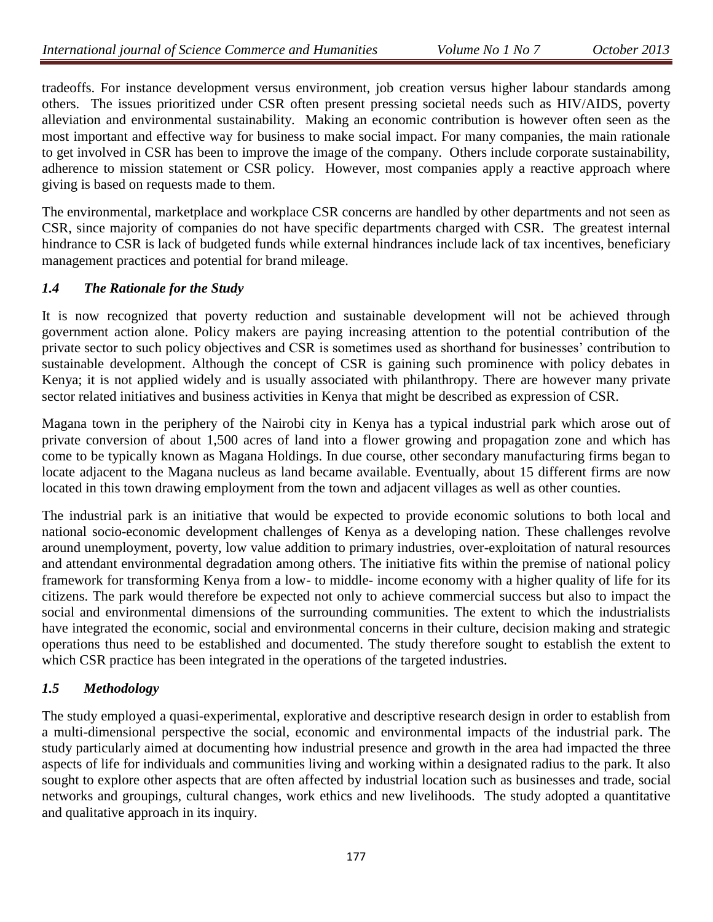tradeoffs. For instance development versus environment, job creation versus higher labour standards among others. The issues prioritized under CSR often present pressing societal needs such as HIV/AIDS, poverty alleviation and environmental sustainability. Making an economic contribution is however often seen as the most important and effective way for business to make social impact. For many companies, the main rationale to get involved in CSR has been to improve the image of the company. Others include corporate sustainability, adherence to mission statement or CSR policy. However, most companies apply a reactive approach where giving is based on requests made to them.

The environmental, marketplace and workplace CSR concerns are handled by other departments and not seen as CSR, since majority of companies do not have specific departments charged with CSR. The greatest internal hindrance to CSR is lack of budgeted funds while external hindrances include lack of tax incentives, beneficiary management practices and potential for brand mileage.

### *1.4 The Rationale for the Study*

It is now recognized that poverty reduction and sustainable development will not be achieved through government action alone. Policy makers are paying increasing attention to the potential contribution of the private sector to such policy objectives and CSR is sometimes used as shorthand for businesses' contribution to sustainable development. Although the concept of CSR is gaining such prominence with policy debates in Kenya; it is not applied widely and is usually associated with philanthropy. There are however many private sector related initiatives and business activities in Kenya that might be described as expression of CSR.

Magana town in the periphery of the Nairobi city in Kenya has a typical industrial park which arose out of private conversion of about 1,500 acres of land into a flower growing and propagation zone and which has come to be typically known as Magana Holdings. In due course, other secondary manufacturing firms began to locate adjacent to the Magana nucleus as land became available. Eventually, about 15 different firms are now located in this town drawing employment from the town and adjacent villages as well as other counties.

The industrial park is an initiative that would be expected to provide economic solutions to both local and national socio-economic development challenges of Kenya as a developing nation. These challenges revolve around unemployment, poverty, low value addition to primary industries, over-exploitation of natural resources and attendant environmental degradation among others. The initiative fits within the premise of national policy framework for transforming Kenya from a low- to middle- income economy with a higher quality of life for its citizens. The park would therefore be expected not only to achieve commercial success but also to impact the social and environmental dimensions of the surrounding communities. The extent to which the industrialists have integrated the economic, social and environmental concerns in their culture, decision making and strategic operations thus need to be established and documented. The study therefore sought to establish the extent to which CSR practice has been integrated in the operations of the targeted industries.

## *1.5 Methodology*

The study employed a quasi-experimental, explorative and descriptive research design in order to establish from a multi-dimensional perspective the social, economic and environmental impacts of the industrial park. The study particularly aimed at documenting how industrial presence and growth in the area had impacted the three aspects of life for individuals and communities living and working within a designated radius to the park. It also sought to explore other aspects that are often affected by industrial location such as businesses and trade, social networks and groupings, cultural changes, work ethics and new livelihoods. The study adopted a quantitative and qualitative approach in its inquiry.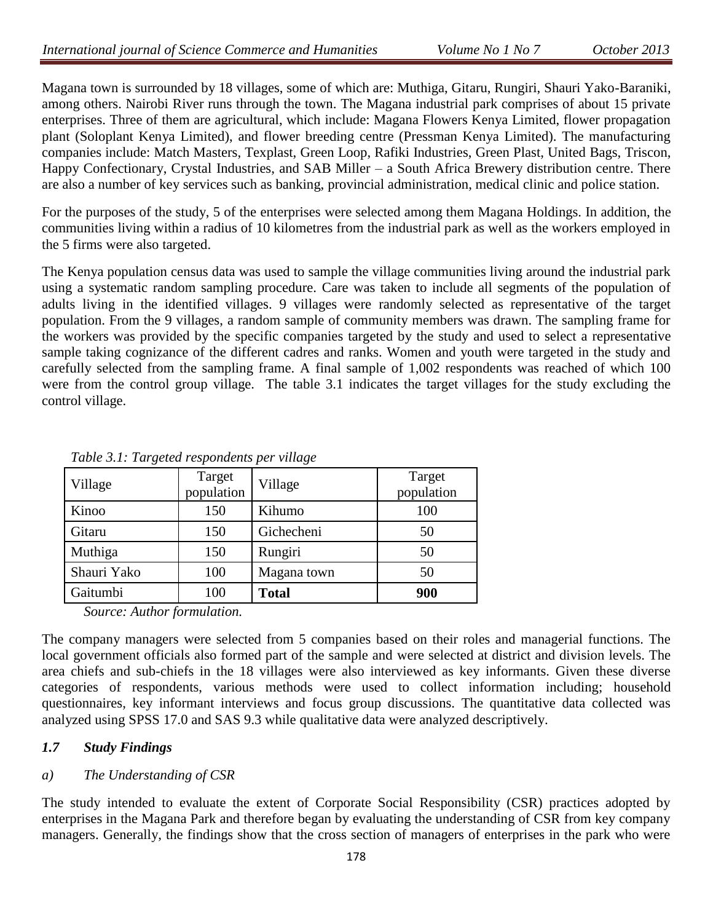Magana town is surrounded by 18 villages, some of which are: Muthiga, Gitaru, Rungiri, Shauri Yako-Baraniki, among others. Nairobi River runs through the town. The Magana industrial park comprises of about 15 private enterprises. Three of them are agricultural, which include: Magana Flowers Kenya Limited, flower propagation plant (Soloplant Kenya Limited), and flower breeding centre (Pressman Kenya Limited). The manufacturing companies include: Match Masters, Texplast, Green Loop, Rafiki Industries, Green Plast, United Bags, Triscon, Happy Confectionary, Crystal Industries, and SAB Miller – a South Africa Brewery distribution centre. There are also a number of key services such as banking, provincial administration, medical clinic and police station.

For the purposes of the study, 5 of the enterprises were selected among them Magana Holdings. In addition, the communities living within a radius of 10 kilometres from the industrial park as well as the workers employed in the 5 firms were also targeted.

The Kenya population census data was used to sample the village communities living around the industrial park using a systematic random sampling procedure. Care was taken to include all segments of the population of adults living in the identified villages. 9 villages were randomly selected as representative of the target population. From the 9 villages, a random sample of community members was drawn. The sampling frame for the workers was provided by the specific companies targeted by the study and used to select a representative sample taking cognizance of the different cadres and ranks. Women and youth were targeted in the study and carefully selected from the sampling frame. A final sample of 1,002 respondents was reached of which 100 were from the control group village. The table 3.1 indicates the target villages for the study excluding the control village.

| Village                                        | Target<br>population        | Village      | Target<br>population |
|------------------------------------------------|-----------------------------|--------------|----------------------|
| Kinoo                                          | 150                         | Kihumo       | 100                  |
| Gitaru                                         | 150                         | Gichecheni   | 50                   |
| Muthiga                                        | 150                         | Rungiri      | 50                   |
| Shauri Yako                                    | 100                         | Magana town  | 50                   |
| Gaitumbi                                       | 100                         | <b>Total</b> | 900                  |
| $\mathcal{L}$<br>$\sim$<br>$\lambda$ $\lambda$ | $\mathbf{1}$ , $\mathbf{1}$ |              |                      |

*Table 3.1: Targeted respondents per village*

*Source: Author formulation.*

The company managers were selected from 5 companies based on their roles and managerial functions. The local government officials also formed part of the sample and were selected at district and division levels. The area chiefs and sub-chiefs in the 18 villages were also interviewed as key informants. Given these diverse categories of respondents, various methods were used to collect information including; household questionnaires, key informant interviews and focus group discussions. The quantitative data collected was analyzed using SPSS 17.0 and SAS 9.3 while qualitative data were analyzed descriptively.

# *1.7 Study Findings*

## *a) The Understanding of CSR*

The study intended to evaluate the extent of Corporate Social Responsibility (CSR) practices adopted by enterprises in the Magana Park and therefore began by evaluating the understanding of CSR from key company managers. Generally, the findings show that the cross section of managers of enterprises in the park who were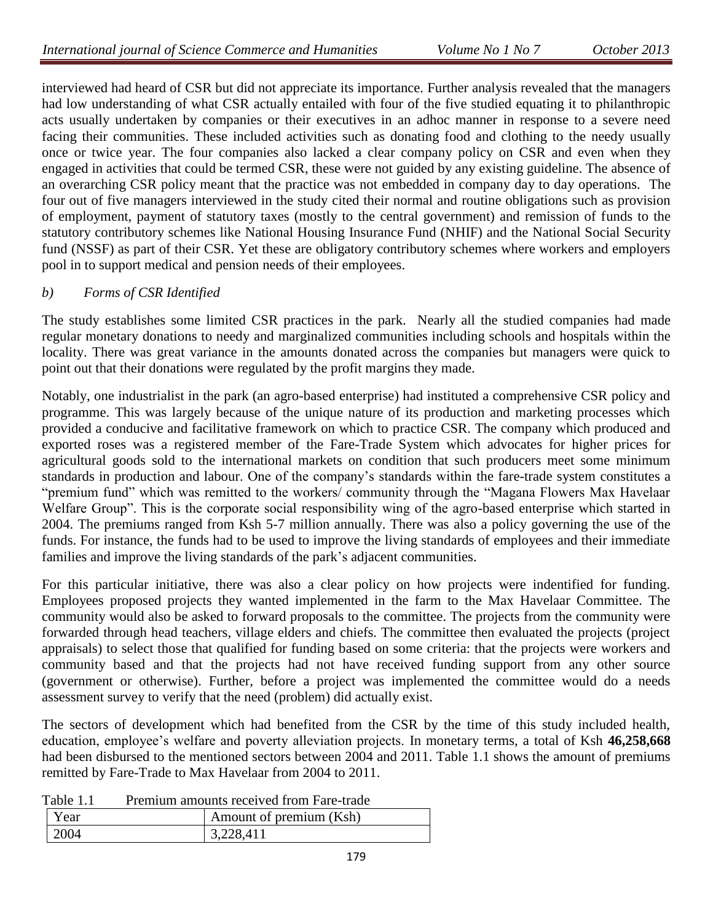interviewed had heard of CSR but did not appreciate its importance. Further analysis revealed that the managers had low understanding of what CSR actually entailed with four of the five studied equating it to philanthropic acts usually undertaken by companies or their executives in an adhoc manner in response to a severe need facing their communities. These included activities such as donating food and clothing to the needy usually once or twice year. The four companies also lacked a clear company policy on CSR and even when they engaged in activities that could be termed CSR, these were not guided by any existing guideline. The absence of an overarching CSR policy meant that the practice was not embedded in company day to day operations. The four out of five managers interviewed in the study cited their normal and routine obligations such as provision of employment, payment of statutory taxes (mostly to the central government) and remission of funds to the statutory contributory schemes like National Housing Insurance Fund (NHIF) and the National Social Security fund (NSSF) as part of their CSR. Yet these are obligatory contributory schemes where workers and employers pool in to support medical and pension needs of their employees.

### *b) Forms of CSR Identified*

The study establishes some limited CSR practices in the park. Nearly all the studied companies had made regular monetary donations to needy and marginalized communities including schools and hospitals within the locality. There was great variance in the amounts donated across the companies but managers were quick to point out that their donations were regulated by the profit margins they made.

Notably, one industrialist in the park (an agro-based enterprise) had instituted a comprehensive CSR policy and programme. This was largely because of the unique nature of its production and marketing processes which provided a conducive and facilitative framework on which to practice CSR. The company which produced and exported roses was a registered member of the Fare-Trade System which advocates for higher prices for agricultural goods sold to the international markets on condition that such producers meet some minimum standards in production and labour. One of the company's standards within the fare-trade system constitutes a "premium fund" which was remitted to the workers/ community through the "Magana Flowers Max Havelaar Welfare Group". This is the corporate social responsibility wing of the agro-based enterprise which started in 2004. The premiums ranged from Ksh 5-7 million annually. There was also a policy governing the use of the funds. For instance, the funds had to be used to improve the living standards of employees and their immediate families and improve the living standards of the park's adjacent communities.

For this particular initiative, there was also a clear policy on how projects were indentified for funding. Employees proposed projects they wanted implemented in the farm to the Max Havelaar Committee. The community would also be asked to forward proposals to the committee. The projects from the community were forwarded through head teachers, village elders and chiefs. The committee then evaluated the projects (project appraisals) to select those that qualified for funding based on some criteria: that the projects were workers and community based and that the projects had not have received funding support from any other source (government or otherwise). Further, before a project was implemented the committee would do a needs assessment survey to verify that the need (problem) did actually exist.

The sectors of development which had benefited from the CSR by the time of this study included health, education, employee's welfare and poverty alleviation projects. In monetary terms, a total of Ksh **46,258,668**  had been disbursed to the mentioned sectors between 2004 and 2011. Table 1.1 shows the amount of premiums remitted by Fare-Trade to Max Havelaar from 2004 to 2011.

| Table 1.1 |  |  | Premium amounts received from Fare-trade |
|-----------|--|--|------------------------------------------|
|           |  |  |                                          |

| $\sim$<br>11011110111 0111001110 10001   00 11 0111 1 010   01000 |  |                         |  |  |
|-------------------------------------------------------------------|--|-------------------------|--|--|
| Year                                                              |  | Amount of premium (Ksh) |  |  |
| 2004                                                              |  | 3.228A11                |  |  |
|                                                                   |  |                         |  |  |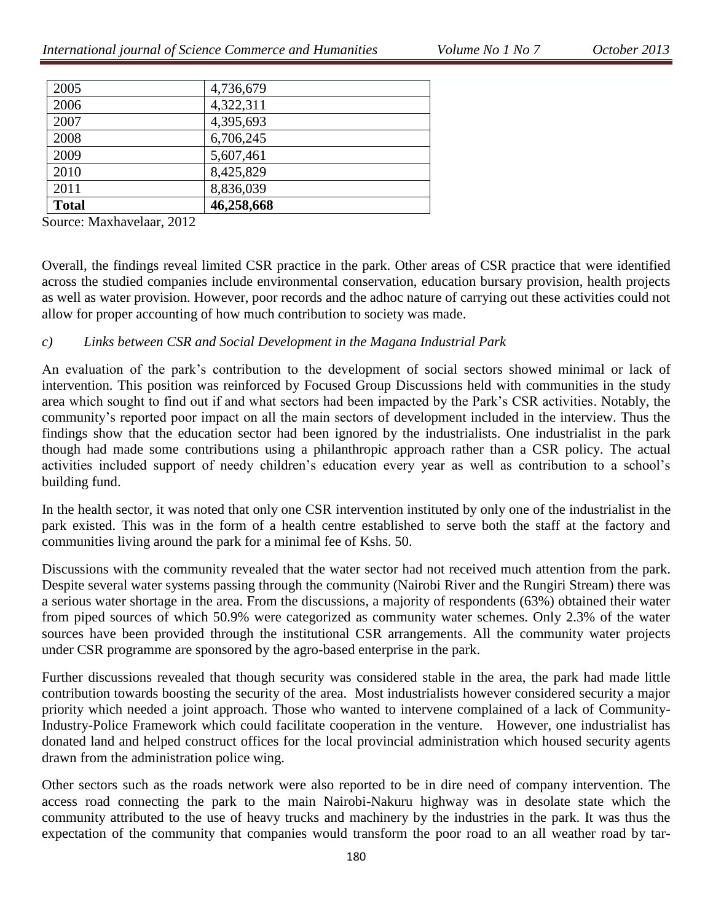| <b>Total</b> | 46,258,668 |  |
|--------------|------------|--|
| 2011         | 8,836,039  |  |
| 2010         | 8,425,829  |  |
| 2009         | 5,607,461  |  |
| 2008         | 6,706,245  |  |
| 2007         | 4,395,693  |  |
| 2006         | 4,322,311  |  |
| 2005         | 4,736,679  |  |

Source: Maxhavelaar, 2012

Overall, the findings reveal limited CSR practice in the park. Other areas of CSR practice that were identified across the studied companies include environmental conservation, education bursary provision, health projects as well as water provision. However, poor records and the adhoc nature of carrying out these activities could not allow for proper accounting of how much contribution to society was made.

#### *c) Links between CSR and Social Development in the Magana Industrial Park*

An evaluation of the park's contribution to the development of social sectors showed minimal or lack of intervention. This position was reinforced by Focused Group Discussions held with communities in the study area which sought to find out if and what sectors had been impacted by the Park's CSR activities. Notably, the community's reported poor impact on all the main sectors of development included in the interview. Thus the findings show that the education sector had been ignored by the industrialists. One industrialist in the park though had made some contributions using a philanthropic approach rather than a CSR policy. The actual activities included support of needy children's education every year as well as contribution to a school's building fund.

In the health sector, it was noted that only one CSR intervention instituted by only one of the industrialist in the park existed. This was in the form of a health centre established to serve both the staff at the factory and communities living around the park for a minimal fee of Kshs. 50.

Discussions with the community revealed that the water sector had not received much attention from the park. Despite several water systems passing through the community (Nairobi River and the Rungiri Stream) there was a serious water shortage in the area. From the discussions, a majority of respondents (63%) obtained their water from piped sources of which 50.9% were categorized as community water schemes. Only 2.3% of the water sources have been provided through the institutional CSR arrangements. All the community water projects under CSR programme are sponsored by the agro-based enterprise in the park.

Further discussions revealed that though security was considered stable in the area, the park had made little contribution towards boosting the security of the area. Most industrialists however considered security a major priority which needed a joint approach. Those who wanted to intervene complained of a lack of Community-Industry-Police Framework which could facilitate cooperation in the venture. However, one industrialist has donated land and helped construct offices for the local provincial administration which housed security agents drawn from the administration police wing.

Other sectors such as the roads network were also reported to be in dire need of company intervention. The access road connecting the park to the main Nairobi-Nakuru highway was in desolate state which the community attributed to the use of heavy trucks and machinery by the industries in the park. It was thus the expectation of the community that companies would transform the poor road to an all weather road by tar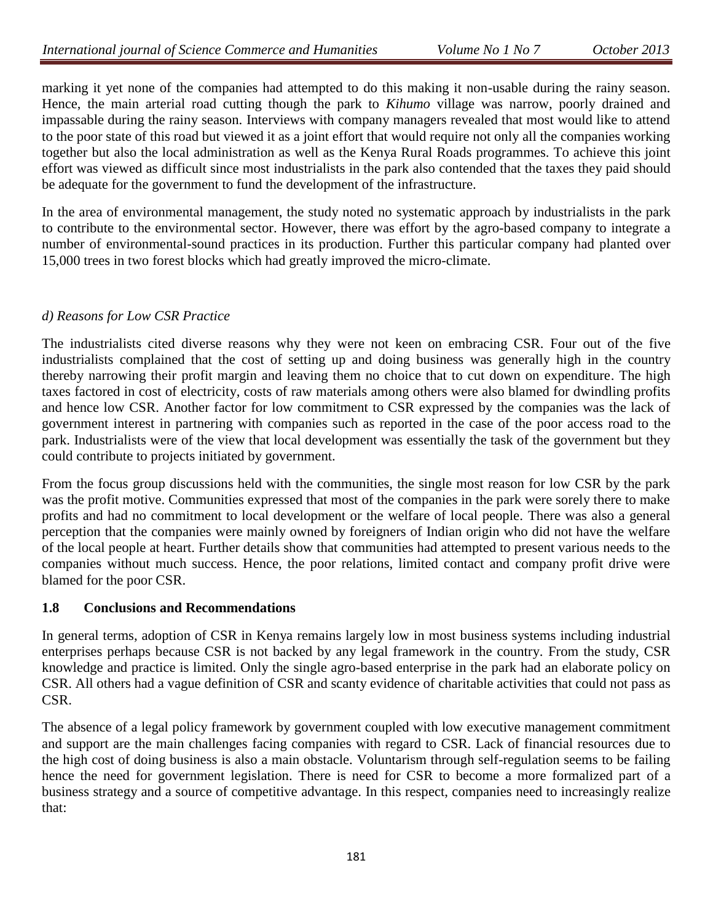marking it yet none of the companies had attempted to do this making it non-usable during the rainy season. Hence, the main arterial road cutting though the park to *Kihumo* village was narrow, poorly drained and impassable during the rainy season. Interviews with company managers revealed that most would like to attend to the poor state of this road but viewed it as a joint effort that would require not only all the companies working together but also the local administration as well as the Kenya Rural Roads programmes. To achieve this joint effort was viewed as difficult since most industrialists in the park also contended that the taxes they paid should be adequate for the government to fund the development of the infrastructure.

In the area of environmental management, the study noted no systematic approach by industrialists in the park to contribute to the environmental sector. However, there was effort by the agro-based company to integrate a number of environmental-sound practices in its production. Further this particular company had planted over 15,000 trees in two forest blocks which had greatly improved the micro-climate.

### *d) Reasons for Low CSR Practice*

The industrialists cited diverse reasons why they were not keen on embracing CSR. Four out of the five industrialists complained that the cost of setting up and doing business was generally high in the country thereby narrowing their profit margin and leaving them no choice that to cut down on expenditure. The high taxes factored in cost of electricity, costs of raw materials among others were also blamed for dwindling profits and hence low CSR. Another factor for low commitment to CSR expressed by the companies was the lack of government interest in partnering with companies such as reported in the case of the poor access road to the park. Industrialists were of the view that local development was essentially the task of the government but they could contribute to projects initiated by government.

From the focus group discussions held with the communities, the single most reason for low CSR by the park was the profit motive. Communities expressed that most of the companies in the park were sorely there to make profits and had no commitment to local development or the welfare of local people. There was also a general perception that the companies were mainly owned by foreigners of Indian origin who did not have the welfare of the local people at heart. Further details show that communities had attempted to present various needs to the companies without much success. Hence, the poor relations, limited contact and company profit drive were blamed for the poor CSR.

### **1.8 Conclusions and Recommendations**

In general terms, adoption of CSR in Kenya remains largely low in most business systems including industrial enterprises perhaps because CSR is not backed by any legal framework in the country. From the study, CSR knowledge and practice is limited. Only the single agro-based enterprise in the park had an elaborate policy on CSR. All others had a vague definition of CSR and scanty evidence of charitable activities that could not pass as CSR.

The absence of a legal policy framework by government coupled with low executive management commitment and support are the main challenges facing companies with regard to CSR. Lack of financial resources due to the high cost of doing business is also a main obstacle. Voluntarism through self-regulation seems to be failing hence the need for government legislation. There is need for CSR to become a more formalized part of a business strategy and a source of competitive advantage. In this respect, companies need to increasingly realize that: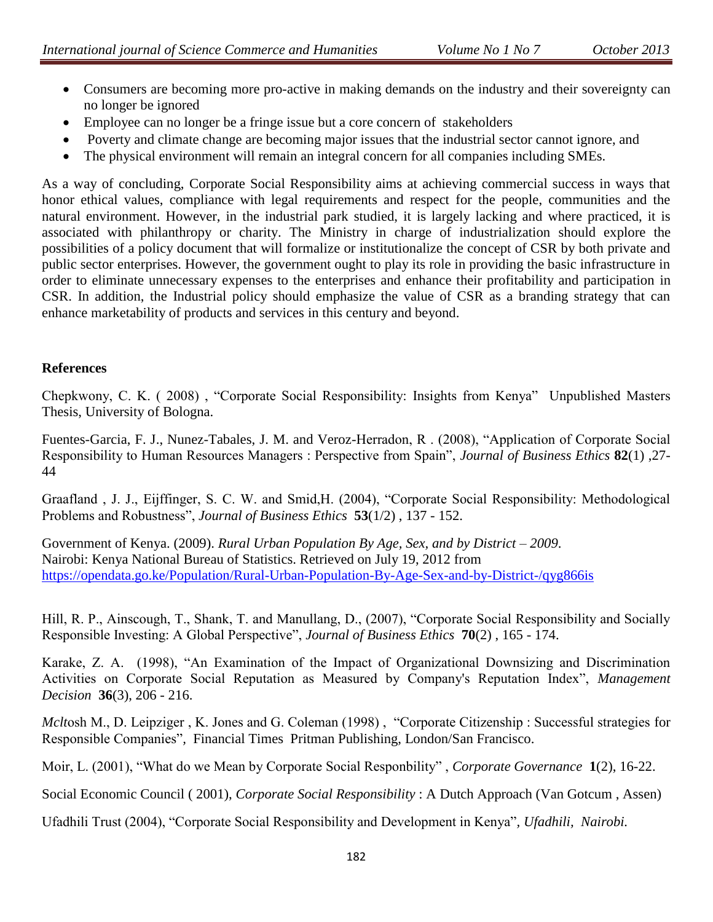- Consumers are becoming more pro-active in making demands on the industry and their sovereignty can no longer be ignored
- Employee can no longer be a fringe issue but a core concern of stakeholders
- Poverty and climate change are becoming major issues that the industrial sector cannot ignore, and
- The physical environment will remain an integral concern for all companies including SMEs.

As a way of concluding, Corporate Social Responsibility aims at achieving commercial success in ways that honor ethical values, compliance with legal requirements and respect for the people, communities and the natural environment. However, in the industrial park studied, it is largely lacking and where practiced, it is associated with philanthropy or charity. The Ministry in charge of industrialization should explore the possibilities of a policy document that will formalize or institutionalize the concept of CSR by both private and public sector enterprises. However, the government ought to play its role in providing the basic infrastructure in order to eliminate unnecessary expenses to the enterprises and enhance their profitability and participation in CSR. In addition, the Industrial policy should emphasize the value of CSR as a branding strategy that can enhance marketability of products and services in this century and beyond.

### **References**

Chepkwony, C. K. ( 2008) , "Corporate Social Responsibility: Insights from Kenya" Unpublished Masters Thesis, University of Bologna.

Fuentes-Garcia, F. J., Nunez-Tabales, J. M. and Veroz-Herradon, R . (2008), "Application of Corporate Social Responsibility to Human Resources Managers : Perspective from Spain", *Journal of Business Ethics* **82**(1) ,27- 44

Graafland , J. J., Eijffinger, S. C. W. and Smid,H. (2004), "Corporate Social Responsibility: Methodological Problems and Robustness", *Journal of Business Ethics* **53**(1/2) , 137 - 152.

Government of Kenya. (2009). *Rural Urban Population By Age, Sex, and by District – 2009*. Nairobi: Kenya National Bureau of Statistics. Retrieved on July 19, 2012 from <https://opendata.go.ke/Population/Rural-Urban-Population-By-Age-Sex-and-by-District-/qyg866is>

Hill, R. P., Ainscough, T., Shank, T. and Manullang, D., (2007), "Corporate Social Responsibility and Socially Responsible Investing: A Global Perspective", *Journal of Business Ethics* **70**(2) , 165 - 174.

Karake, Z. A. (1998), "An Examination of the Impact of Organizational Downsizing and Discrimination Activities on Corporate Social Reputation as Measured by Company's Reputation Index", *Management Decision* **36**(3), 206 - 216.

*Mclt*osh M., D. Leipziger , K. Jones and G. Coleman (1998) , "Corporate Citizenship : Successful strategies for Responsible Companies"*,* Financial Times Pritman Publishing, London/San Francisco.

Moir, L. (2001), "What do we Mean by Corporate Social Responbility" , *Corporate Governance* **1**(2), 16-22.

Social Economic Council ( 2001), *Corporate Social Responsibility* : A Dutch Approach (Van Gotcum , Assen)

Ufadhili Trust (2004), "Corporate Social Responsibility and Development in Kenya"*, Ufadhili, Nairobi.*